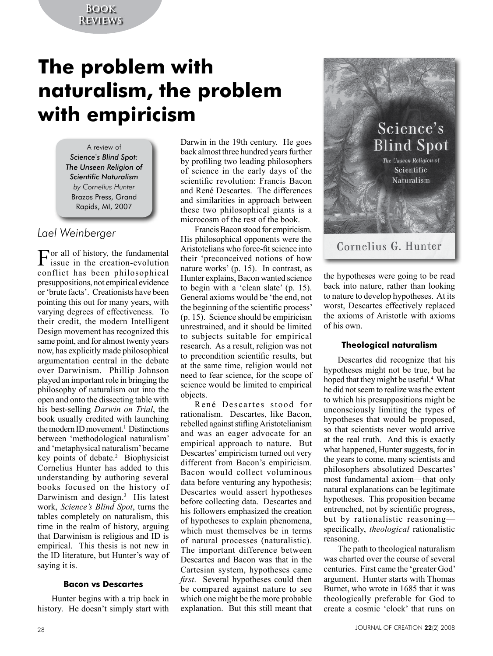## **Book Reviews**

# **The problem with naturalism, the problem with empiricism**

A review of *Science*'*s Blind Spot: The Unseen Religion of Scientific Naturalism by Cornelius Hunter* Brazos Press, Grand Rapids, MI, 2007

## *Lael Weinberger*

 $\prod_{i \in \mathbb{N}}$  or all of history, the fundamental issue in the creation-evolution conflict has been philosophical presuppositions, not empirical evidence or 'brute facts'. Creationists have been pointing this out for many years, with varying degrees of effectiveness. To their credit, the modern Intelligent Design movement has recognized this same point, and for almost twenty years now, has explicitly made philosophical argumentation central in the debate over Darwinism. Phillip Johnson played an important role in bringing the philosophy of naturalism out into the open and onto the dissecting table with his best-selling *Darwin on Trial*, the book usually credited with launching the modern ID movement.<sup>1</sup> Distinctions between 'methodological naturalism' and 'metaphysical naturalism' became key points of debate.2 Biophysicist Cornelius Hunter has added to this understanding by authoring several books focused on the history of Darwinism and design.<sup>3</sup> His latest work, *Science's Blind Spot*, turns the tables completely on naturalism, this time in the realm of history, arguing that Darwinism is religious and ID is empirical. This thesis is not new in the ID literature, but Hunter's way of saying it is.

#### **Bacon vs Descartes**

Hunter begins with a trip back in history. He doesn't simply start with

Darwin in the 19th century. He goes back almost three hundred years further by profiling two leading philosophers of science in the early days of the scientific revolution: Francis Bacon and René Descartes. The differences and similarities in approach between these two philosophical giants is a microcosm of the rest of the book.

Francis Bacon stood for empiricism. His philosophical opponents were the Aristotelians who force-fit science into their 'preconceived notions of how nature works' (p. 15). In contrast, as Hunter explains, Bacon wanted science to begin with a 'clean slate' (p. 15). General axioms would be 'the end, not the beginning of the scientific process' (p. 15). Science should be empiricism unrestrained, and it should be limited to subjects suitable for empirical research. As a result, religion was not to precondition scientific results, but at the same time, religion would not need to fear science, for the scope of science would be limited to empirical objects.

René Descartes stood for rationalism. Descartes, like Bacon, rebelled against stifling Aristotelianism and was an eager advocate for an empirical approach to nature. But Descartes' empiricism turned out very different from Bacon's empiricism. Bacon would collect voluminous data before venturing any hypothesis; Descartes would assert hypotheses before collecting data. Descartes and his followers emphasized the creation of hypotheses to explain phenomena, which must themselves be in terms of natural processes (naturalistic). The important difference between Descartes and Bacon was that in the Cartesian system, hypotheses came *first*. Several hypotheses could then be compared against nature to see which one might be the more probable explanation. But this still meant that



the hypotheses were going to be read back into nature, rather than looking to nature to develop hypotheses. At its worst, Descartes effectively replaced the axioms of Aristotle with axioms of his own.

#### **Theological naturalism**

Descartes did recognize that his hypotheses might not be true, but he hoped that they might be useful.<sup>4</sup> What he did not seem to realize was the extent to which his presuppositions might be unconsciously limiting the types of hypotheses that would be proposed, so that scientists never would arrive at the real truth. And this is exactly what happened, Hunter suggests, for in the years to come, many scientists and philosophers absolutized Descartes' most fundamental axiom—that only natural explanations can be legitimate hypotheses. This proposition became entrenched, not by scientific progress, but by rationalistic reasoning specifically, *theological* rationalistic reasoning.

The path to theological naturalism was charted over the course of several centuries. First came the 'greater God' argument. Hunter starts with Thomas Burnet, who wrote in 1685 that it was theologically preferable for God to create a cosmic 'clock' that runs on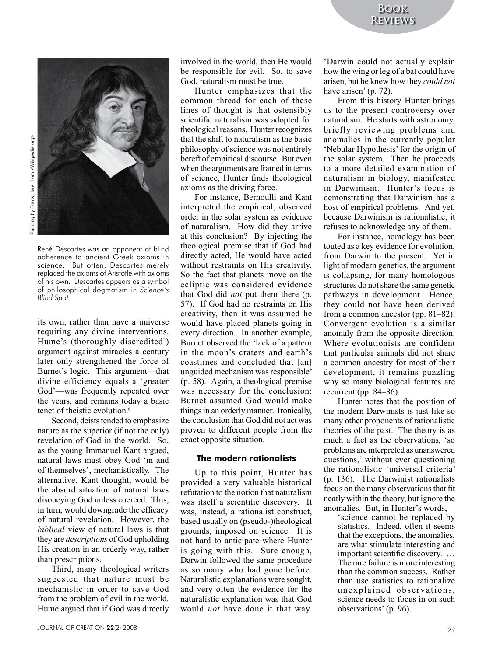

René Descartes was an opponent of blind adherence to ancient Greek axioms in science. But often, Descartes merely replaced the axioms of Aristotle with axioms of his own. Descartes appears as a symbol of philosophical dogmatism in *Science's Blind Spot.*

its own, rather than have a universe requiring any divine interventions. Hume's (thoroughly discredited<sup>5</sup>) argument against miracles a century later only strengthened the force of Burnet's logic. This argument—that divine efficiency equals a 'greater God'—was frequently repeated over the years, and remains today a basic tenet of theistic evolution.<sup>6</sup>

Second, deists tended to emphasize nature as the superior (if not the only) revelation of God in the world. So, as the young Immanuel Kant argued, natural laws must obey God 'in and of themselves', mechanistically. The alternative, Kant thought, would be the absurd situation of natural laws disobeying God unless coerced. This, in turn, would downgrade the efficacy of natural revelation. However, the *biblical* view of natural laws is that they are *descriptions* of God upholding His creation in an orderly way, rather than prescriptions.

Third, many theological writers suggested that nature must be mechanistic in order to save God from the problem of evil in the world. Hume argued that if God was directly involved in the world, then He would be responsible for evil. So, to save God, naturalism must be true.

Hunter emphasizes that the common thread for each of these lines of thought is that ostensibly scientific naturalism was adopted for theological reasons. Hunter recognizes that the shift to naturalism as the basic philosophy of science was not entirely bereft of empirical discourse. But even when the arguments are framed in terms of science, Hunter finds theological axioms as the driving force.

For instance, Bernoulli and Kant interpreted the empirical, observed order in the solar system as evidence of naturalism. How did they arrive at this conclusion? By injecting the theological premise that if God had directly acted, He would have acted without restraints on His creativity. So the fact that planets move on the ecliptic was considered evidence that God did *not* put them there (p. 57). If God had no restraints on His creativity, then it was assumed he would have placed planets going in every direction. In another example, Burnet observed the 'lack of a pattern in the moon's craters and earth's coastlines and concluded that [an] unguided mechanism was responsible' (p. 58). Again, a theological premise was necessary for the conclusion: Burnet assumed God would make things in an orderly manner. Ironically, the conclusion that God did not act was proven to different people from the exact opposite situation.

#### **The modern rationalists**

Up to this point, Hunter has provided a very valuable historical refutation to the notion that naturalism was itself a scientific discovery. It was, instead, a rationalist construct, based usually on (pseudo-)theological grounds, imposed on science. It is not hard to anticipate where Hunter is going with this. Sure enough, Darwin followed the same procedure as so many who had gone before. Naturalistic explanations were sought, and very often the evidence for the naturalistic explanation was that God would *not* have done it that way.

'Darwin could not actually explain how the wing or leg of a bat could have arisen, but he knew how they *could not* have arisen' (p. 72).

From this history Hunter brings us to the present controversy over naturalism. He starts with astronomy, briefly reviewing problems and anomalies in the currently popular 'Nebular Hypothesis' for the origin of the solar system. Then he proceeds to a more detailed examination of naturalism in biology, manifested in Darwinism. Hunter's focus is demonstrating that Darwinism has a host of empirical problems. And yet, because Darwinism is rationalistic, it refuses to acknowledge any of them.

For instance, homology has been touted as a key evidence for evolution, from Darwin to the present. Yet in light of modern genetics, the argument is collapsing, for many homologous structures do not share the same genetic pathways in development. Hence, they could not have been derived from a common ancestor (pp. 81–82). Convergent evolution is a similar anomaly from the opposite direction. Where evolutionists are confident that particular animals did not share a common ancestry for most of their development, it remains puzzling why so many biological features are recurrent (pp. 84–86).

Hunter notes that the position of the modern Darwinists is just like so many other proponents of rationalistic theories of the past. The theory is as much a fact as the observations, 'so problems are interpreted as unanswered questions,' without ever questioning the rationalistic 'universal criteria' (p. 136). The Darwinist rationalists focus on the many observations that fit neatly within the theory, but ignore the anomalies. But, in Hunter's words,

> 'science cannot be replaced by statistics. Indeed, often it seems that the exceptions, the anomalies, are what stimulate interesting and important scientific discovery. … The rare failure is more interesting than the common success. Rather than use statistics to rationalize unexplained observations, science needs to focus in on such observations' (p. 96).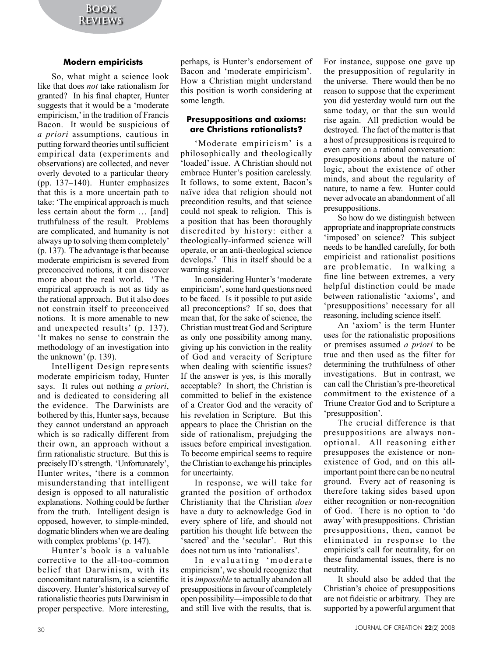### **Modern empiricists**

So, what might a science look like that does *not* take rationalism for granted? In his final chapter, Hunter suggests that it would be a 'moderate empiricism,' in the tradition of Francis Bacon. It would be suspicious of *a priori* assumptions, cautious in putting forward theories until sufficient empirical data (experiments and observations) are collected, and never overly devoted to a particular theory (pp. 137–140). Hunter emphasizes that this is a more uncertain path to take: 'The empirical approach is much less certain about the form … [and] truthfulness of the result. Problems are complicated, and humanity is not always up to solving them completely' (p. 137). The advantage is that because moderate empiricism is severed from preconceived notions, it can discover more about the real world. 'The empirical approach is not as tidy as the rational approach. But it also does not constrain itself to preconceived notions. It is more amenable to new and unexpected results' (p. 137). 'It makes no sense to constrain the methodology of an investigation into the unknown' (p. 139).

Intelligent Design represents moderate empiricism today, Hunter says. It rules out nothing *a priori*, and is dedicated to considering all the evidence. The Darwinists are bothered by this, Hunter says, because they cannot understand an approach which is so radically different from their own, an approach without a firm rationalistic structure. But this is precisely ID's strength. 'Unfortunately', Hunter writes, 'there is a common misunderstanding that intelligent design is opposed to all naturalistic explanations. Nothing could be further from the truth. Intelligent design is opposed, however, to simple-minded, dogmatic blinders when we are dealing with complex problems' (p. 147).

Hunter's book is a valuable corrective to the all-too-common belief that Darwinism, with its concomitant naturalism, is a scientific discovery. Hunter's historical survey of rationalistic theories puts Darwinism in proper perspective. More interesting,

perhaps, is Hunter's endorsement of Bacon and 'moderate empiricism'. How a Christian might understand this position is worth considering at some length.

#### **Presuppositions and axioms: are Christians rationalists**?

'Moderate empiricism' is a philosophically and theologically 'loaded' issue. A Christian should not embrace Hunter's position carelessly. It follows, to some extent, Bacon's naïve idea that religion should not precondition results, and that science could not speak to religion. This is a position that has been thoroughly discredited by history: either a theologically-informed science will operate, or an anti-theological science develops.7 This in itself should be a warning signal.

In considering Hunter's 'moderate empiricism', some hard questions need to be faced. Is it possible to put aside all preconceptions? If so, does that mean that, for the sake of science, the Christian must treat God and Scripture as only one possibility among many, giving up his conviction in the reality of God and veracity of Scripture when dealing with scientific issues? If the answer is yes, is this morally acceptable? In short, the Christian is committed to belief in the existence of a Creator God and the veracity of his revelation in Scripture. But this appears to place the Christian on the side of rationalism, prejudging the issues before empirical investigation. To become empirical seems to require the Christian to exchange his principles for uncertainty.

In response, we will take for granted the position of orthodox Christianity that the Christian *does* have a duty to acknowledge God in every sphere of life, and should not partition his thought life between the 'sacred' and the 'secular'. But this does not turn us into 'rationalists'.

In evaluating 'moderate empiricism', we should recognize that it is *impossible* to actually abandon all presuppositions in favour of completely open possibility—impossible to do that and still live with the results, that is.

For instance, suppose one gave up the presupposition of regularity in the universe. There would then be no reason to suppose that the experiment you did yesterday would turn out the same today, or that the sun would rise again. All prediction would be destroyed. The fact of the matter is that a host of presuppositions is required to even carry on a rational conversation: presuppositions about the nature of logic, about the existence of other minds, and about the regularity of nature, to name a few. Hunter could never advocate an abandonment of all presuppositions.

So how do we distinguish between appropriate and inappropriate constructs 'imposed' on science? This subject needs to be handled carefully, for both empiricist and rationalist positions are problematic. In walking a fine line between extremes, a very helpful distinction could be made between rationalistic 'axioms', and 'presuppositions' necessary for all reasoning, including science itself.

An 'axiom' is the term Hunter uses for the rationalistic propositions or premises assumed *a priori* to be true and then used as the filter for determining the truthfulness of other investigations. But in contrast, we can call the Christian's pre-theoretical commitment to the existence of a Triune Creator God and to Scripture a 'presupposition'.

The crucial difference is that presuppositions are always nonoptional. All reasoning either presupposes the existence or nonexistence of God, and on this allimportant point there can be no neutral ground. Every act of reasoning is therefore taking sides based upon either recognition or non-recognition of God. There is no option to 'do away' with presuppositions. Christian presuppositions, then, cannot be eliminated in response to the empiricist's call for neutrality, for on these fundamental issues, there is no neutrality.

It should also be added that the Christian's choice of presuppositions are not fideistic or arbitrary. They are supported by a powerful argument that